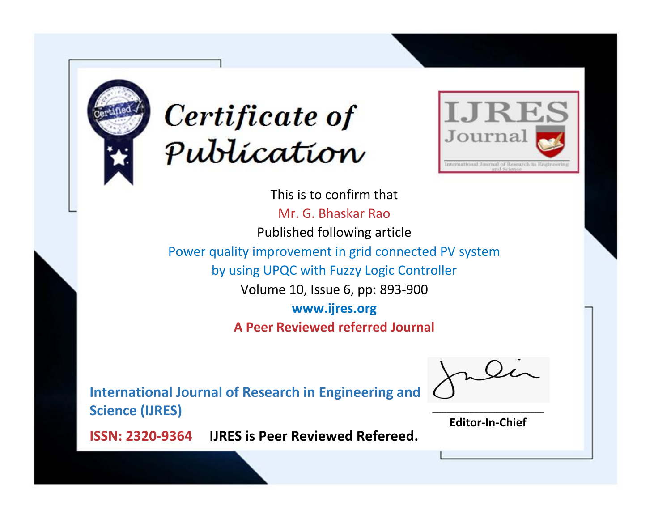



This is to confirm that Mr. G. Bhaskar Rao Published following article Power quality improvement in grid connected PV system by using UPQC with Fuzzy Logic Controller Volume 10, Issue 6, pp: 893-900 **www.ijres.org A Peer Reviewed referred Journal**

**International Journal of Research in Engineering and Science (IJRES)**

\_\_\_\_\_\_\_\_\_\_\_\_\_\_\_\_\_\_\_\_\_\_\_\_ **Editor-In-Chief**

**Journal.**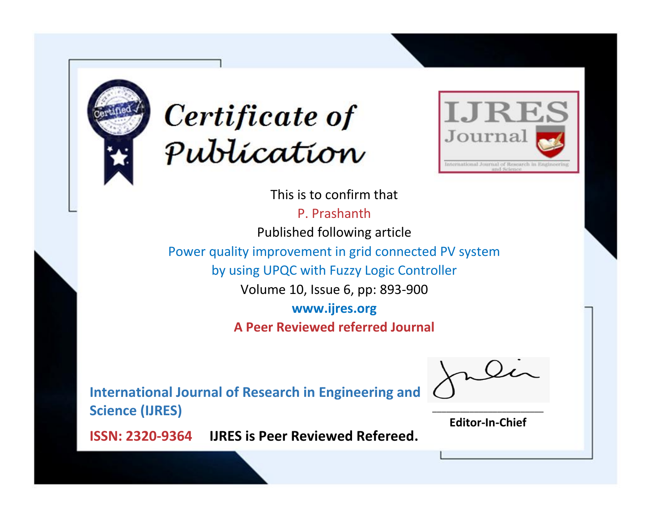



This is to confirm that

P. Prashanth

Published following article

Power quality improvement in grid connected PV system

by using UPQC with Fuzzy Logic Controller

Volume 10, Issue 6, pp: 893-900

**www.ijres.org**

**A Peer Reviewed referred Journal**

**International Journal of Research in Engineering and Science (IJRES)**

\_\_\_\_\_\_\_\_\_\_\_\_\_\_\_\_\_\_\_\_\_\_\_\_ **Editor-In-Chief**

**Journal.**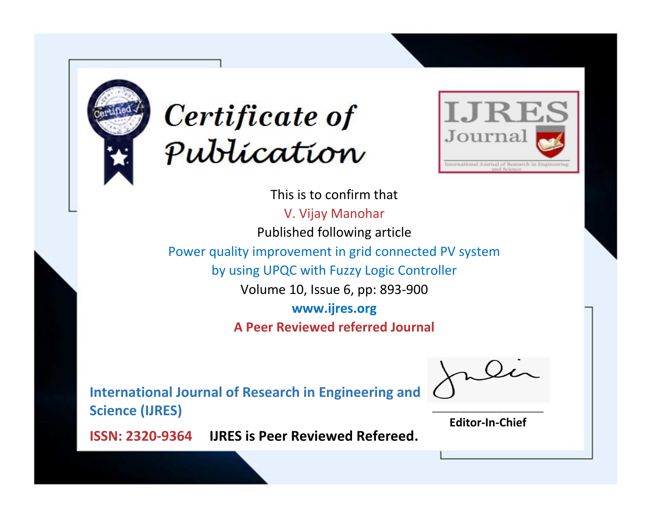



This is to confirm that V. Vijay Manohar Published following article Power quality improvement in grid connected PV system by using UPQC with Fuzzy Logic Controller Volume 10, Issue 6, pp: 893-900 **www.ijres.org A Peer Reviewed referred Journal**

**International Journal of Research in Engineering and Science (IJRES)**

\_\_\_\_\_\_\_\_\_\_\_\_\_\_\_\_\_\_\_\_\_\_\_\_ **Editor-In-Chief**

**Journal.**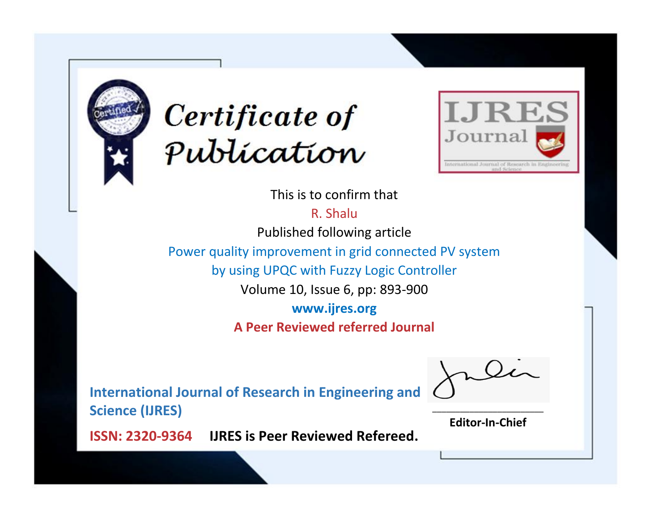



This is to confirm that

R. Shalu

Published following article

Power quality improvement in grid connected PV system

by using UPQC with Fuzzy Logic Controller

Volume 10, Issue 6, pp: 893-900

**www.ijres.org**

**A Peer Reviewed referred Journal**

**International Journal of Research in Engineering and Science (IJRES)**

\_\_\_\_\_\_\_\_\_\_\_\_\_\_\_\_\_\_\_\_\_\_\_\_ **Editor-In-Chief**

**Journal.**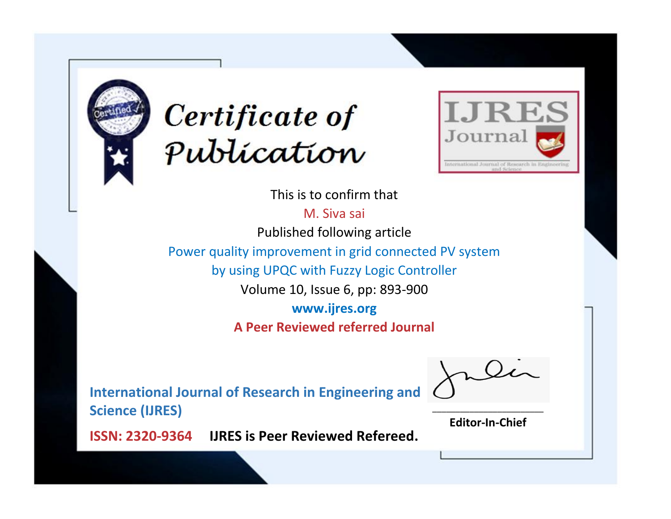



This is to confirm that

M. Siva sai Published following article Power quality improvement in grid connected PV system by using UPQC with Fuzzy Logic Controller Volume 10, Issue 6, pp: 893-900 **www.ijres.org A Peer Reviewed referred Journal**

**International Journal of Research in Engineering and Science (IJRES)**

\_\_\_\_\_\_\_\_\_\_\_\_\_\_\_\_\_\_\_\_\_\_\_\_ **Editor-In-Chief**

**Journal.**